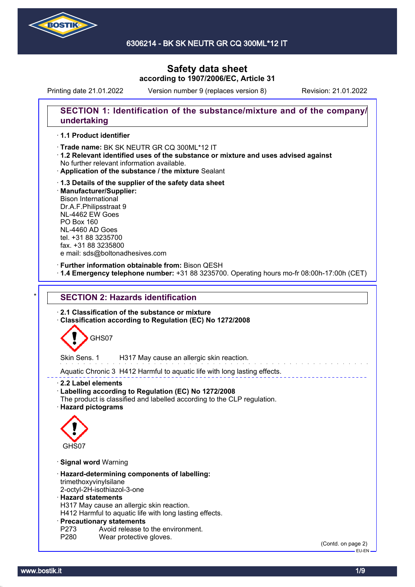

Printing date 21.01.2022 Version number 9 (replaces version 8) Revision: 21.01.2022

### **SECTION 1: Identification of the substance/mixture and of the company/ undertaking**

#### · **1.1 Product identifier**

· Trade name: BK SK NEUTR GR CQ 300ML\*12 IT

- · **1.2 Relevant identified uses of the substance or mixture and uses advised against** No further relevant information available.
- · **Application of the substance / the mixture** Sealant
- · **1.3 Details of the supplier of the safety data sheet** · **Manufacturer/Supplier:** Bison International Dr.A.F.Philipsstraat 9 NL-4462 EW Goes PO Box 160 NL-4460 AD Goes tel. +31 88 3235700 fax. +31 88 3235800 e mail: sds@boltonadhesives.com

#### · **Further information obtainable from:** Bison QESH

· **1.4 Emergency telephone number:** +31 88 3235700. Operating hours mo-fr 08:00h-17:00h (CET)

# **SECTION 2: Hazards identification**

· **2.1 Classification of the substance or mixture**

· **Classification according to Regulation (EC) No 1272/2008**



Skin Sens. 1 H317 May cause an allergic skin reaction.

Aquatic Chronic 3 H412 Harmful to aquatic life with long lasting effects.

· **2.2 Label elements**

- · **Labelling according to Regulation (EC) No 1272/2008**
- The product is classified and labelled according to the CLP regulation.
- · **Hazard pictograms**



- · **Signal word** Warning
- · **Hazard-determining components of labelling:** trimethoxyvinylsilane
- 2-octyl-2H-isothiazol-3-one

### · **Hazard statements**

H317 May cause an allergic skin reaction.

H412 Harmful to aquatic life with long lasting effects.

#### · **Precautionary statements**

- P273 Avoid release to the environment.<br>P280 Wear protective gloves.
- Wear protective gloves.

(Contd. on page 2) EU-EN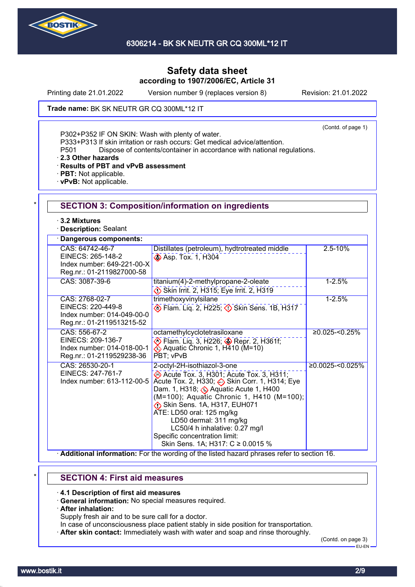

Printing date 21.01.2022 Version number 9 (replaces version 8) Revision: 21.01.2022

Trade name: BK SK NEUTR GR CQ 300ML\*12 IT

(Contd. of page 1)

P302+P352 IF ON SKIN: Wash with plenty of water.

P333+P313 If skin irritation or rash occurs: Get medical advice/attention.

P501 Dispose of contents/container in accordance with national regulations.

· **2.3 Other hazards**

· **Results of PBT and vPvB assessment**

- · **PBT:** Not applicable.
- · **vPvB:** Not applicable.

| $\cdot$ 3.2 Mixtures<br>Description: Sealant                                                    |                                                                                                                                                                                                                                                                                                                                                                                                            |                     |
|-------------------------------------------------------------------------------------------------|------------------------------------------------------------------------------------------------------------------------------------------------------------------------------------------------------------------------------------------------------------------------------------------------------------------------------------------------------------------------------------------------------------|---------------------|
| Dangerous components:                                                                           |                                                                                                                                                                                                                                                                                                                                                                                                            |                     |
| CAS: 64742-46-7<br>EINECS: 265-148-2<br>Index number: 649-221-00-X<br>Reg.nr.: 01-2119827000-58 | Distillates (petroleum), hydtrotreated middle<br>Asp. Tox. 1, H304                                                                                                                                                                                                                                                                                                                                         | $2.5 - 10%$         |
| CAS: 3087-39-6                                                                                  | titanium(4)-2-methylpropane-2-oleate<br>Skin Irrit. 2, H315; Eye Irrit. 2, H319                                                                                                                                                                                                                                                                                                                            | $1 - 2.5%$          |
| CAS: 2768-02-7<br>EINECS: 220-449-8<br>Index number: 014-049-00-0<br>Reg.nr.: 01-2119513215-52  | trimethoxyvinylsilane<br><b>Elam. Lig. 2, H225; 3 Skin Sens. 1B, H317</b>                                                                                                                                                                                                                                                                                                                                  | $1 - 2.5%$          |
| CAS: 556-67-2<br>EINECS: 209-136-7<br>Index number: 014-018-00-1<br>Reg.nr.: 01-2119529238-36   | octamethylcyclotetrasiloxane<br>Flam. Liq. 3, H226; Sepr. 2, H361f;<br>Aquatic Chronic 1, H410 (M=10)<br>PBT; vPvB                                                                                                                                                                                                                                                                                         | $≥0.025 - 0.25%$    |
| CAS: 26530-20-1<br>EINECS: 247-761-7<br>Index number: 613-112-00-5                              | 2-octyl-2H-isothiazol-3-one<br>Acute Tox. 3, H301; Acute Tox. 3, H311;<br>Acute Tox. 2, H330; Skin Corr. 1, H314; Eye<br>Dam. 1, H318; Be Aquatic Acute 1, H400<br>(M=100); Aquatic Chronic 1, H410 (M=100);<br>Skin Sens. 1A, H317, EUH071<br>ATE: LD50 oral: 125 mg/kg<br>LD50 dermal: 311 mg/kg<br>LC50/4 h inhalative: 0.27 mg/l<br>Specific concentration limit:<br>Skin Sens. 1A; H317: C ≥ 0.0015 % | $≥0.0025 - <0.025%$ |

# \* **SECTION 4: First aid measures**

· **4.1 Description of first aid measures**

- · **General information:** No special measures required.
- · **After inhalation:**

Supply fresh air and to be sure call for a doctor.

- In case of unconsciousness place patient stably in side position for transportation.
- · **After skin contact:** Immediately wash with water and soap and rinse thoroughly.

(Contd. on page 3) EU-EN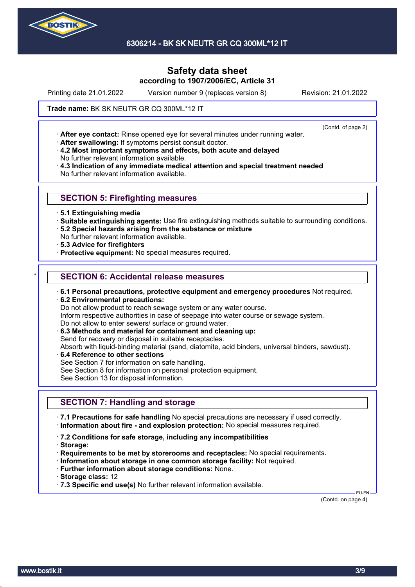

6306214 - BK SK NEUTR GR CQ 300ML\*12 IT

# **Safety data sheet according to 1907/2006/EC, Article 31**

Printing date 21.01.2022 Version number 9 (replaces version 8) Revision: 21.01.2022

(Contd. of page 2)

Trade name: BK SK NEUTR GR CQ 300ML\*12 IT

· **After eye contact:** Rinse opened eye for several minutes under running water.

· **After swallowing:** If symptoms persist consult doctor.

· **4.2 Most important symptoms and effects, both acute and delayed** No further relevant information available.

· **4.3 Indication of any immediate medical attention and special treatment needed** No further relevant information available.

### **SECTION 5: Firefighting measures**

- · **5.1 Extinguishing media**
- · **Suitable extinguishing agents:** Use fire extinguishing methods suitable to surrounding conditions.
- · **5.2 Special hazards arising from the substance or mixture**
- No further relevant information available.
- · **5.3 Advice for firefighters**
- · **Protective equipment:** No special measures required.

### **SECTION 6: Accidental release measures**

- · **6.1 Personal precautions, protective equipment and emergency procedures** Not required.
- · **6.2 Environmental precautions:**
- Do not allow product to reach sewage system or any water course.
- Inform respective authorities in case of seepage into water course or sewage system.
- Do not allow to enter sewers/ surface or ground water.
- · **6.3 Methods and material for containment and cleaning up:**
- Send for recovery or disposal in suitable receptacles.

Absorb with liquid-binding material (sand, diatomite, acid binders, universal binders, sawdust).

- · **6.4 Reference to other sections**
- See Section 7 for information on safe handling.
- See Section 8 for information on personal protection equipment.

See Section 13 for disposal information.

# **SECTION 7: Handling and storage**

· **7.1 Precautions for safe handling** No special precautions are necessary if used correctly. · **Information about fire - and explosion protection:** No special measures required.

- · **7.2 Conditions for safe storage, including any incompatibilities**
- · **Storage:**
- · **Requirements to be met by storerooms and receptacles:** No special requirements.
- · **Information about storage in one common storage facility:** Not required.
- · **Further information about storage conditions:** None.
- · **Storage class:** 12
- · **7.3 Specific end use(s)** No further relevant information available.

(Contd. on page 4)

EU-EN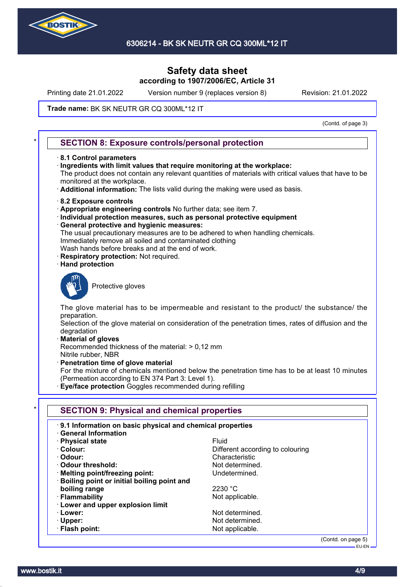

Printing date 21.01.2022 Version number 9 (replaces version 8) Revision: 21.01.2022

#### Trade name: BK SK NEUTR GR CQ 300ML\*12 IT

(Contd. of page 3)

### **SECTION 8: Exposure controls/personal protection**

- · **8.1 Control parameters**
- · **Ingredients with limit values that require monitoring at the workplace:**

The product does not contain any relevant quantities of materials with critical values that have to be monitored at the workplace.

- · **Additional information:** The lists valid during the making were used as basis.
- · **8.2 Exposure controls**
- · **Appropriate engineering controls** No further data; see item 7.
- · **Individual protection measures, such as personal protective equipment**
- · **General protective and hygienic measures:**
- The usual precautionary measures are to be adhered to when handling chemicals. Immediately remove all soiled and contaminated clothing
- Wash hands before breaks and at the end of work.
- **Respiratory protection: Not required.**
- · **Hand protection**



Protective gloves

The glove material has to be impermeable and resistant to the product/ the substance/ the preparation.

Selection of the glove material on consideration of the penetration times, rates of diffusion and the degradation

· **Material of gloves**

Recommended thickness of the material: > 0,12 mm Nitrile rubber, NBR

· **Penetration time of glove material**

For the mixture of chemicals mentioned below the penetration time has to be at least 10 minutes (Permeation according to EN 374 Part 3: Level 1).

· **Eye/face protection** Goggles recommended during refilling

| 9.1 Information on basic physical and chemical properties<br><b>General Information</b> |                                  |
|-----------------------------------------------------------------------------------------|----------------------------------|
| · Physical state                                                                        | <b>Fluid</b>                     |
| · Colour:                                                                               | Different according to colouring |
| · Odour:                                                                                | Characteristic                   |
| Odour threshold:                                                                        | Not determined.                  |
| · Melting point/freezing point:                                                         | Undetermined.                    |
| · Boiling point or initial boiling point and                                            |                                  |
| boiling range                                                                           | 2230 °C                          |
| · Flammability                                                                          | Not applicable.                  |
| <b>Lower and upper explosion limit</b>                                                  |                                  |
| · Lower:                                                                                | Not determined.                  |
| $\cdot$ Upper:                                                                          | Not determined.                  |
| · Flash point:                                                                          | Not applicable.                  |

(Contd. on page 5) EU-EN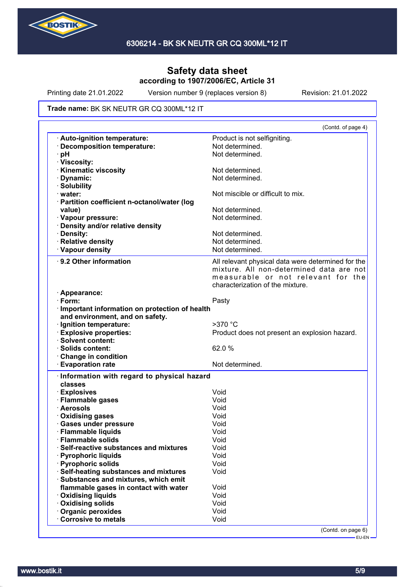

Printing date 21.01.2022 Version number 9 (replaces version 8) Revision: 21.01.2022

#### Trade name: BK SK NEUTR GR CQ 300ML\*12 IT

|                                                                                        | (Contd. of page 4)                                 |
|----------------------------------------------------------------------------------------|----------------------------------------------------|
| Auto-ignition temperature:                                                             | Product is not selfigniting.                       |
| · Decomposition temperature:                                                           | Not determined.                                    |
| pH                                                                                     | Not determined.                                    |
| · Viscosity:                                                                           |                                                    |
| <b>Kinematic viscosity</b>                                                             | Not determined.                                    |
| Dynamic:                                                                               | Not determined.                                    |
| · Solubility                                                                           |                                                    |
| · water:                                                                               | Not miscible or difficult to mix.                  |
| · Partition coefficient n-octanol/water (log                                           |                                                    |
| value)                                                                                 | Not determined.                                    |
| · Vapour pressure:                                                                     | Not determined.                                    |
| · Density and/or relative density                                                      |                                                    |
| · Density:                                                                             | Not determined.                                    |
| · Relative density                                                                     | Not determined.                                    |
| · Vapour density                                                                       | Not determined.                                    |
| 9.2 Other information                                                                  | All relevant physical data were determined for the |
|                                                                                        | mixture. All non-determined data are not           |
|                                                                                        | measurable or not relevant for the                 |
|                                                                                        | characterization of the mixture.                   |
| · Appearance:                                                                          |                                                    |
| $\cdot$ Form:                                                                          | Pasty                                              |
| · Important information on protection of health                                        |                                                    |
| and environment, and on safety.                                                        |                                                    |
| · Ignition temperature:                                                                | $>370$ °C                                          |
| · Explosive properties:                                                                | Product does not present an explosion hazard.      |
| <b>Solvent content:</b>                                                                |                                                    |
| · Solids content:                                                                      | 62.0%                                              |
| <b>Change in condition</b>                                                             |                                                    |
| <b>Evaporation rate</b>                                                                | Not determined.                                    |
|                                                                                        |                                                    |
| Information with regard to physical hazard<br>classes                                  |                                                    |
|                                                                                        |                                                    |
| · Explosives                                                                           |                                                    |
|                                                                                        | Void                                               |
| · Flammable gases                                                                      | Void                                               |
| · Aerosols                                                                             | Void                                               |
| · Oxidising gases                                                                      | Void                                               |
|                                                                                        | Void                                               |
|                                                                                        | Void                                               |
| <b>Flammable solids</b>                                                                | Void                                               |
| · Gases under pressure<br>· Flammable liquids<br>Self-reactive substances and mixtures | Void                                               |
|                                                                                        | Void                                               |
| · Pyrophoric liquids<br>· Pyrophoric solids                                            | Void                                               |
|                                                                                        | Void                                               |
| · Self-heating substances and mixtures<br>· Substances and mixtures, which emit        |                                                    |
| flammable gases in contact with water                                                  | Void                                               |
| · Oxidising liquids                                                                    | Void                                               |
| <b>Oxidising solids</b>                                                                | Void                                               |
| Organic peroxides<br>Corrosive to metals                                               | Void<br>Void                                       |

EU-EN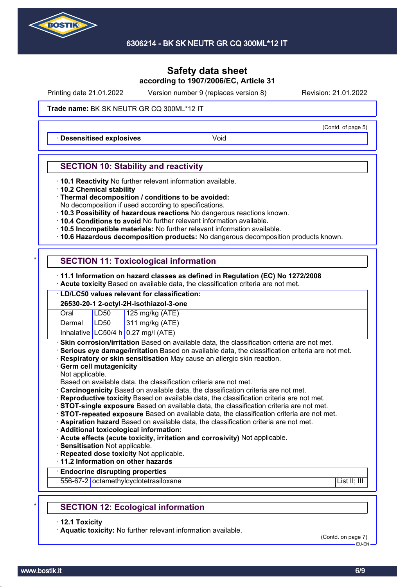

Printing date 21.01.2022 Version number 9 (replaces version 8) Revision: 21.01.2022

#### Trade name: BK SK NEUTR GR CQ 300ML\*12 IT

**Desensitised explosives Void** 

### **SECTION 10: Stability and reactivity**

- · **10.1 Reactivity** No further relevant information available.
- · **10.2 Chemical stability**
- · **Thermal decomposition / conditions to be avoided:**
- No decomposition if used according to specifications.
- · **10.3 Possibility of hazardous reactions** No dangerous reactions known.
- · **10.4 Conditions to avoid** No further relevant information available.
- · **10.5 Incompatible materials:** No further relevant information available.
- · **10.6 Hazardous decomposition products:** No dangerous decomposition products known.

# **SECTION 11: Toxicological information**

- · **11.1 Information on hazard classes as defined in Regulation (EC) No 1272/2008**
- · **Acute toxicity** Based on available data, the classification criteria are not met.

# · **LD/LC50 values relevant for classification:**

| 26530-20-1 2-octyl-2H-isothiazol-3-one |      |                                       |
|----------------------------------------|------|---------------------------------------|
| Oral                                   | LD50 |                                       |
| Dermal                                 | LD50 | 125 mg/kg (ATE)<br>311 mg/kg (ATE)    |
|                                        |      | Inhalative $LC50/4 h 0.27$ mg/l (ATE) |

**Skin corrosion/irritation** Based on available data, the classification criteria are not met.

- · **Serious eye damage/irritation** Based on available data, the classification criteria are not met.
- · **Respiratory or skin sensitisation** May cause an allergic skin reaction.
- · **Germ cell mutagenicity**
- Not applicable.

Based on available data, the classification criteria are not met.

- · **Carcinogenicity** Based on available data, the classification criteria are not met.
- · **Reproductive toxicity** Based on available data, the classification criteria are not met.
- · **STOT-single exposure** Based on available data, the classification criteria are not met.
- · **STOT-repeated exposure** Based on available data, the classification criteria are not met.

· **Aspiration hazard** Based on available data, the classification criteria are not met.

- · **Additional toxicological information:**
- · **Acute effects (acute toxicity, irritation and corrosivity)** Not applicable.
- · **Sensitisation** Not applicable.
- · **Repeated dose toxicity** Not applicable.

· **11.2 Information on other hazards**

### · **Endocrine disrupting properties**

556-67-2 octamethylcyclotetrasiloxane List II; III in the List II; III in the List II; III in the List II; III

# **SECTION 12: Ecological information**

· **12.1 Toxicity**

· **Aquatic toxicity:** No further relevant information available.

(Contd. on page 7) EU-EN

(Contd. of page 5)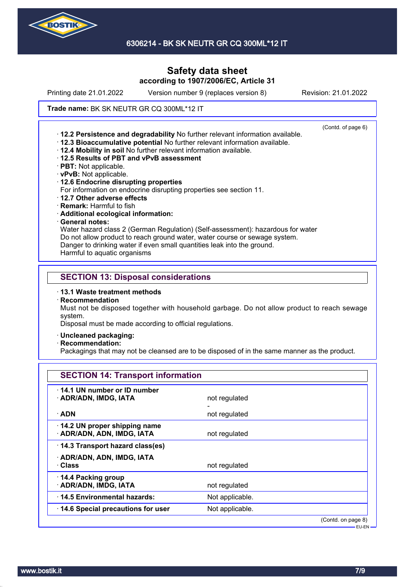

Printing date 21.01.2022 Version number 9 (replaces version 8) Revision: 21.01.2022

#### Trade name: BK SK NEUTR GR CQ 300ML\*12 IT

(Contd. of page 6) · **12.2 Persistence and degradability** No further relevant information available. · **12.3 Bioaccumulative potential** No further relevant information available. · **12.4 Mobility in soil** No further relevant information available. · **12.5 Results of PBT and vPvB assessment** · **PBT:** Not applicable. · **vPvB:** Not applicable. · **12.6 Endocrine disrupting properties** For information on endocrine disrupting properties see section 11. · **12.7 Other adverse effects** · **Remark:** Harmful to fish

- 
- · **Additional ecological information:**

## · **General notes:**

Water hazard class 2 (German Regulation) (Self-assessment): hazardous for water Do not allow product to reach ground water, water course or sewage system. Danger to drinking water if even small quantities leak into the ground.

Harmful to aquatic organisms

#### **SECTION 13: Disposal considerations**

- · **13.1 Waste treatment methods**
- · **Recommendation**

Must not be disposed together with household garbage. Do not allow product to reach sewage system.

Disposal must be made according to official regulations.

- · **Uncleaned packaging:**
- · **Recommendation:**

Packagings that may not be cleansed are to be disposed of in the same manner as the product.

| <b>SECTION 14: Transport information</b>                   |                 |                    |
|------------------------------------------------------------|-----------------|--------------------|
| 14.1 UN number or ID number<br>· ADR/ADN, IMDG, IATA       | not regulated   |                    |
| · ADN                                                      | not regulated   |                    |
| 14.2 UN proper shipping name<br>· ADR/ADN, ADN, IMDG, IATA | not regulated   |                    |
| 14.3 Transport hazard class(es)                            |                 |                    |
| · ADR/ADN, ADN, IMDG, IATA<br>· Class                      | not regulated   |                    |
| 14.4 Packing group<br>· ADR/ADN, IMDG, IATA                | not regulated   |                    |
| 14.5 Environmental hazards:                                | Not applicable. |                    |
| 14.6 Special precautions for user                          | Not applicable. |                    |
|                                                            |                 | (Contd. on page 8) |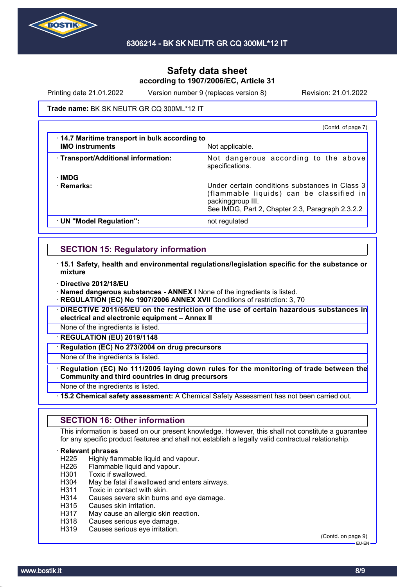

Printing date 21.01.2022 Version number 9 (replaces version 8) Revision: 21.01.2022

#### Trade name: BK SK NEUTR GR CQ 300ML\*12 IT

|                                                                                | (Contd. of page 7)                                                                                                                                                  |
|--------------------------------------------------------------------------------|---------------------------------------------------------------------------------------------------------------------------------------------------------------------|
| $\cdot$ 14.7 Maritime transport in bulk according to<br><b>IMO instruments</b> | Not applicable.                                                                                                                                                     |
| · Transport/Additional information:                                            | Not dangerous according to the above<br>specifications.                                                                                                             |
| ∴IMDG<br>· Remarks:                                                            | Under certain conditions substances in Class 3<br>(flammable liquids) can be classified in<br>packinggroup III.<br>See IMDG, Part 2, Chapter 2.3, Paragraph 2.3.2.2 |
| · UN "Model Regulation":                                                       | not regulated                                                                                                                                                       |

### **SECTION 15: Regulatory information**

- · **15.1 Safety, health and environmental regulations/legislation specific for the substance or mixture**
- · **Directive 2012/18/EU**

· **Named dangerous substances - ANNEX I** None of the ingredients is listed.

**REGULATION (EC) No 1907/2006 ANNEX XVII** Conditions of restriction: 3, 70

· **DIRECTIVE 2011/65/EU on the restriction of the use of certain hazardous substances in electrical and electronic equipment – Annex II**

None of the ingredients is listed.

· **REGULATION (EU) 2019/1148**

**Regulation (EC) No 273/2004 on drug precursors** 

None of the ingredients is listed.

· **Regulation (EC) No 111/2005 laying down rules for the monitoring of trade between the Community and third countries in drug precursors**

None of the ingredients is listed.

· **15.2 Chemical safety assessment:** A Chemical Safety Assessment has not been carried out.

### **SECTION 16: Other information**

This information is based on our present knowledge. However, this shall not constitute a guarantee for any specific product features and shall not establish a legally valid contractual relationship.

# **Relevant phrases**<br>H225 Highly flar

Highly flammable liquid and vapour.

- H226 Flammable liquid and vapour.
- H301 Toxic if swallowed.
- H304 May be fatal if swallowed and enters airways.
- H311 Toxic in contact with skin.
- H314 Causes severe skin burns and eye damage.<br>H315 Causes skin irritation.
- Causes skin irritation.
- H317 May cause an allergic skin reaction.
- H318 Causes serious eye damage.
- H319 Causes serious eye irritation.

(Contd. on page 9) EU-EN